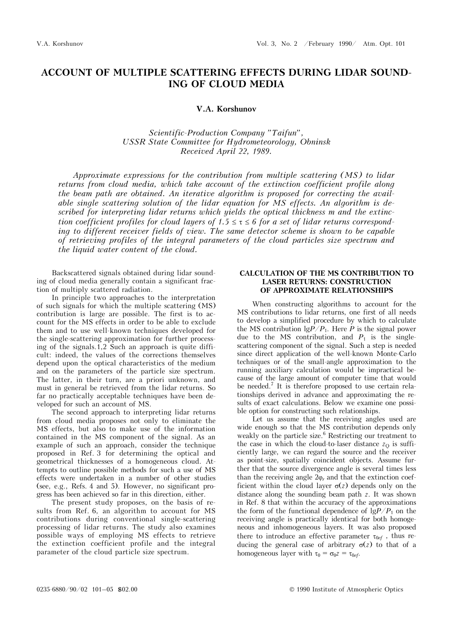# **ACCOUNT OF MULTIPLE SCATTERING EFFECTS DURING LIDAR SOUND-ING OF CLOUD MEDIA**

#### **V.A. Korshunov**

*Scientific-Production Company "Taifun", USSR State Committee for Hydrometeorology, Obninsk Received April 22, 1989.* 

*Approximate expressions for the contribution from multiple scattering (MS) to lidar returns from cloud media, which take account of the extinction coefficient profile along the beam path are obtained. An iterative algorithm is proposed for correcting the available single scattering solution of the lidar equation for MS effects. An algorithm is de*scribed for interpreting lidar returns which yields the optical thickness m and the extinc*tion coefficient profiles for cloud layers of 1.5*  $\leq \tau \leq 6$  *for a set of lidar returns corresponding to different receiver fields of view. The same detector scheme is shown to be capable of retrieving profiles of the integral parameters of the cloud particles size spectrum and the liquid water content of the cloud.* 

Backscattered signals obtained during lidar sounding of cloud media generally contain a significant fraction of multiply scattered radiation.

In principle two approaches to the interpretation of such signals for which the multiple scattering (MS) contribution is large are possible. The first is to account for the MS effects in order to be able to exclude them and to use well-known techniques developed for the single-scattering approximation for further processing of the signals.1,2 Such an approach is quite difficult: indeed, the values of the corrections themselves depend upon the optical characteristics of the medium and on the parameters of the particle size spectrum. The latter, in their turn, are a priori unknown, and must in general be retrieved from the lidar returns. So far no practically acceptable techniques have been developed for such an account of MS.

The second approach to interpreting lidar returns from cloud media proposes not only to eliminate the MS effects, but also to make use of the information contained in the MS component of the signal. As an example of such an approach, consider the technique proposed in Ref. 3 for determining the optical and geometrical thicknesses of a homogeneous cloud. Attempts to outline possible methods for such a use of MS effects were undertaken in a number of other studies (see, e.g., Refs. 4 and 5). However, no significant progress has been achieved so far in this direction, either.

The present study proposes, on the basis of results from Ref. 6, an algorithm to account for MS contributions during conventional single-scattering processing of lidar returns. The study also examines possible ways of employing MS effects to retrieve the extinction coefficient profile and the integral parameter of the cloud particle size spectrum.

### **CALCULATION OF THE MS CONTRIBUTION TO LASER RETURNS: CONSTRUCTION OF APPROXIMATE RELATIONSHIPS**

When constructing algorithms to account for the MS contributions to lidar returns, one first of all needs to develop a simplified procedure by which to calculate the MS contribution  $\lg P/P_1$ . Here P is the signal power due to the MS contribution, and  $P_1$  is the singlescattering component of the signal. Such a step is needed since direct application of the well-known Monte-Carlo techniques or of the small-angle approximation to the running auxiliary calculation would be impractical because of the large amount of computer time that would be needed.7 It is therefore proposed to use certain relationships derived in advance and approximating the results of exact calculations. Below we examine one possible option for constructing such relationships.

Let us assume that the receiving angles used are wide enough so that the MS contribution depends only weakly on the particle size.<sup>6</sup> Restricting our treatment to the case in which the cloud-to-laser distance  $z<sub>O</sub>$  is sufficiently large, we can regard the source and the receiver as point-size, spatially coincident objects. Assume further that the source divergence angle is several times less than the receiving angle  $2\varphi_r$  and that the extinction coefficient within the cloud layer  $\sigma(z)$  depends only on the distance along the sounding beam path *z*. It was shown in Ref. 8 that within the accuracy of the approximations the form of the functional dependence of  $\frac{1}{2}P/P_1$  on the receiving angle is practically identical for both homogeneous and inhomogeneous layers. It was also proposed there to introduce an effective parameter  $\tau_{0ef}$ , thus reducing the general case of arbitrary  $\sigma(z)$  to that of a homogeneous layer with  $\tau_0 = \sigma_0 z = \tau_{0ef}$ .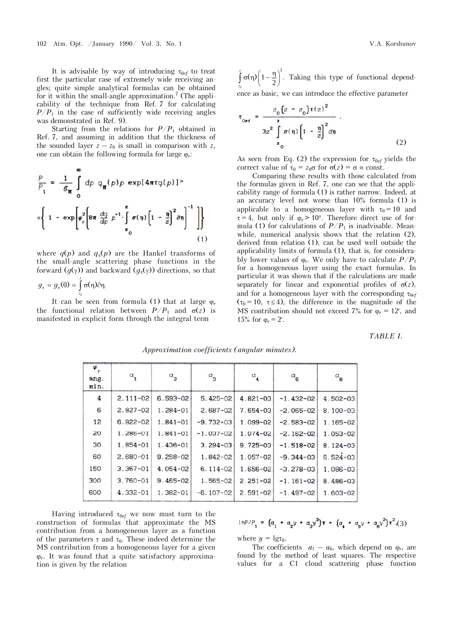It is advisable by way of introducing  $\tau_{0ef}$  to treat first the particular case of extremely wide receiving angles; quite simple analytical formulas can be obtained for it within the small-angle approximation.<sup>7</sup> (The applicability of the technique from Ref. 7 for calculating  $P/P_1$  in the case of sufficiently wide receiving angles was demonstrated in Ref. 9).

Starting from the relations for  $P/P_1$  obtained in Ref. 7, and assuming in addition that the thickness of the sounded layer  $z - z_0$  is small in comparison with  $z$ , one can obtain the following formula for large  $\varphi_r$ :

$$
\frac{P}{P_1} = \frac{1}{\mathcal{E}_{\pi}} \int_{0}^{\infty} dp \ q_{\pi}(p) p \exp[4\pi \tau q(p)]^{\times}
$$

$$
\times \left\{ 1 - \exp\left[\varphi_r^2 \left[8\pi \frac{dq}{dp} p^{-1} \cdot \int_{z_0}^{z} \sigma(\eta) \left[1 - \frac{\eta}{z}\right]^{2} \partial \eta\right]^{-1} \right] \right\}
$$
(1)

where  $q(p)$  and  $q_{\pi}(p)$  are the Hankel transforms of the small-angle scattering phase functions in the forward  $(g(\gamma))$  and backward  $(g_{\pi}(\gamma))$  directions, so that

$$
g_{\pi}=g_{\pi}(0)=\int_{z_0}^z \sigma(\eta)\partial \eta.
$$

It can be seen from formula (1) that at large  $\varphi_r$ the functional relation between  $P/P_1$  and  $\sigma(z)$  is manifested in explicit form through the integral term

 $\int_{z_0}^{z} \sigma(\eta) \left(1 - \frac{\eta}{2}\right)$ 2  $\int_{z_0}^{z} \sigma(\eta) \left(1 - \frac{\eta}{2}\right)^2$ . *z* Taking this type of functional dependence as basic, we can introduce the effective parameter

$$
\tau_{\text{Oef}} = \frac{z_0 \left(z - z_0\right) \tau(z)^2}{3z^2 \int_{z_0}^z \sigma(\eta) \left(1 - \frac{\eta}{z}\right)^2 d\eta} \tag{2}
$$

As seen from Eq. (2) the expression for  $\tau_{0ef}$  yields the correct value of  $\tau_0 = z_0 \sigma$  for  $\sigma(z) = \sigma \equiv \text{const.}$ 

Comparing these results with those calculated from the formulas given in Ref. 7, one can see that the applicability range of formula (1) is rather narrow. Indeed, at an accuracy level not worse than 10% formula (1) is applicable to a homogeneous layer with  $\tau_0 = 10$  and  $\tau = 4$ , but only if  $\varphi_r > 10^\circ$ . Therefore direct use of formula (1) for calculations of  $P/P_1$  is inadvisable. Meanwhile, numerical analysis shows that the relation (2), derived from relation (1), can be used well outside the applicability limits of formula (1), that is, for considerably lower values of  $\varphi_r$ . We only have to calculate  $P/P_1$ for a homogeneous layer using the exact formulas. In particular it was shown that if the calculations are made separately for linear and exponential profiles of  $\sigma(z)$ , and for a homogeneous layer with the corresponding  $\tau_{0ef}$  $(\tau_0 = 10, \tau \leq 4)$ , the difference in the magnitude of the MS contribution should not exceed 7% for  $\varphi_r = 12$ , and 15% for  $\varphi_r = 2'$ .

*TABLE I.* 

| φ<br>r<br>ang.<br>min. | $a_{1}$      | $a_{2}$      | $a_{3}$       | $a_{\bf 4}$  | $a_{\bf s}$   | $a_{\bf 6}$  |
|------------------------|--------------|--------------|---------------|--------------|---------------|--------------|
| 4                      | $2.111 - 02$ | $6.593 - 02$ | $5.425 - 02$  | $4.821 - 03$ | $-1.432-02$   | $4.502 - 03$ |
| 6                      | $2.827 - 02$ | $1.284 - 01$ | $2.687 - 02$  | 7.654-03     | $-2.065-02$   | $8.100 - 03$ |
| 12                     | $6.922 - 02$ | $1.841 - 01$ | $-9.732 - 03$ | $1.099 - 02$ | $-2.583 - 02$ | $1.165 - 02$ |
| 20                     | $1.286 - 01$ | $1.841 - 01$ | $-1.037 - 02$ | 1.074-02     | $-2.162-02$   | $1.053 - 02$ |
| 30                     | $1.854 - 01$ | $1.436 - 01$ | $3.294 - 03$  | $9.725 - 03$ | $-1.518-02$   | $8.124 - 03$ |
| 60                     | $2.680 - 01$ | $9.258 - 02$ | $1.842 - 02$  | $1.057 - 02$ | $-9.344 - 03$ | $6.524 - 03$ |
| 150                    | $3.367 - 01$ | $4.054 - 02$ | $6.114 - 02$  | 1.656-02     | $-3.278-03$   | $1.086 - 03$ |
| 300                    | $3.760 - 01$ | $9.465 - 02$ | $1.565 - 02$  | $2.251 - 02$ | $-1.161-02$   | $8.486 - 03$ |
| 600                    | $4.332 - 01$ | $1.382 - 01$ | $-6.107-02$   | $2.591 - 02$ | $-1.497 - 02$ | $1.603 - 02$ |

*Approximation coefficients (angular minutes).*

Having introduced  $\tau_{0ef}$  we now must turn to the construction of formulas that approximate the MS contribution from a homogeneous layer as a function of the parameters  $\tau$  and  $\tau_0$ . These indeed determine the MS contribution from a homogeneous layer for a given  $\varphi_r$ . It was found that a quite satisfactory approximation is given by the relation

$$
lnP/P_1 = (a_1 + a_2y + a_3y^2)\tau + (a_4 + a_5y + a_6y^2)\tau^2
$$

where  $y = \lg \tau_0$ .

The coefficients  $a_1 - a_6$ , which depend on  $\varphi_r$ , are found by the method of least squares. The respective values for a C1 cloud scattering phase function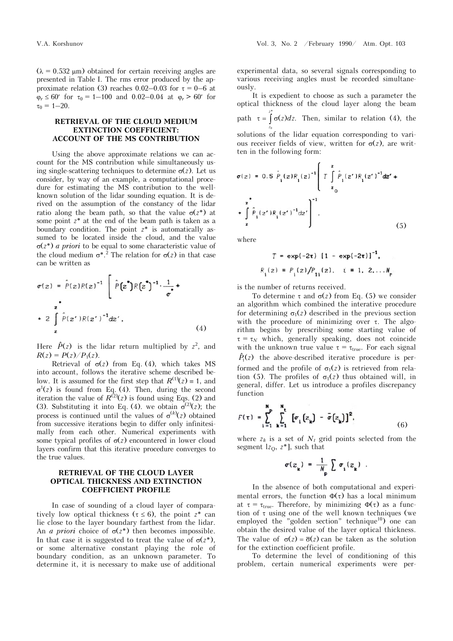$(\lambda = 0.532 \,\mu\text{m})$  obtained for certain receiving angles are presented in Table I. The rms error produced by the approximate relation (3) reaches 0.02–0.03 for  $\tau = 0$ –6 at  $\varphi_r \leq 60'$  for  $\tau_0 = 1 - 100$  and 0.02–0.04 at  $\varphi_r > 60'$  for  $\tau_0 = 1 - 20.$ 

#### **RETRIEVAL OF THE CLOUD MEDIUM EXTINCTION COEFFICIENT: ACCOUNT OF THE MS CONTRIBUTION**

Using the above approximate relations we can account for the MS contribution while simultaneously using single-scattering techniques to determine  $\sigma(z)$ . Let us consider, by way of an example, a computational procedure for estimating the MS contribution to the wellknown solution of the lidar sounding equation. It is derived on the assumption of the constancy of the lidar ratio along the beam path, so that the value  $\sigma(z^*)$  at some point *z*\* at the end of the beam path is taken as a boundary condition. The point *z*\* is automatically assumed to be located inside the cloud, and the value  $\sigma(z^*)$  *a priori* to be equal to some characteristic value of the cloud medium  $\sigma^*$ .<sup>2</sup> The relation for  $\sigma(z)$  in that case can be written as

$$
\sigma(z) = \hat{P}(z)R(z)^{-1} \left[ \hat{P}(z^{\bullet})R(z^{\bullet})^{-1} \cdot \frac{1}{\sigma^{\bullet}} + \frac{z}{\sigma^{\bullet}} \right]
$$
  
+ 
$$
2 \int_{z}^{z} \hat{P}(z^{\prime})R(z^{\prime})^{-1} dz^{\prime}, \qquad (4)
$$

Here  $\hat{P}(z)$  is the lidar return multiplied by  $z^2$ , and  $R(z) = P(z)/P_1(z)$ .

Retrieval of  $\sigma(z)$  from Eq. (4), which takes MS into account, follows the iterative scheme described below. It is assumed for the first step that  $R^{(1)}(z) \equiv 1$ , and  $\sigma^1(z)$  is found from Eq. (4). Then, during the second iteration the value of  $R^{(2)}(z)$  is found using Eqs. (2) and (3). Substituting it into Eq. (4). we obtain  $\sigma^{(2)}(z)$ ; the process is continued until the values of  $\sigma^{(k)}(z)$  obtained from successive iterations begin to differ only infinitesimally from each other. Numerical experiments with some typical profiles of  $\sigma(z)$  encountered in lower cloud layers confirm that this iterative procedure converges to the true values.

## **RETRIEVAL OF THE CLOUD LAYER OPTICAL THICKNESS AND EXTINCTION COEFFICIENT PROFILE**

In case of sounding of a cloud layer of comparatively low optical thickness ( $\tau \leq 6$ ), the point  $z^*$  can lie close to the layer boundary farthest from the lidar. An *a priori* choice of  $\sigma(z^*)$  then becomes impossible. In that case it is suggested to treat the value of  $\sigma(z^*)$ , or some alternative constant playing the role of boundary condition, as an unknown parameter. To determine it, it is necessary to make use of additional experimental data, so several signals corresponding to various receiving angles must be recorded simultaneously.

It is expedient to choose as such a parameter the optical thickness of the cloud layer along the beam *z* \* path  $\tau = \int \sigma(z) dz$ . Then, similar to relation (4), the *z*  $\epsilon$ solutions of the lidar equation corresponding to various receiver fields of view, written for  $\sigma(z)$ , are written in the following form:  $\epsilon$ 

$$
\sigma(z) = 0.5 \hat{P}_1(z)R_1(z)^{-1} \left[ T \int_{z_0}^{z} \hat{P}_1(z')R_1(z')^{-1}dz' + \frac{1}{\int_{z_0}^{z}} \hat{P}_1(z')R_1(z')^{-1}dz' + \int_{z}^{z} \hat{P}_1(z')R_1(z')^{-1}dz' \right]
$$
\n(5)

where

$$
T = \exp(-2\tau) [1 - \exp(-2\tau)]^{-1},
$$
  
\n
$$
R_{i}(z) = P_{i}(z)/P_{1i}(z), \quad i = 1, 2, ... N_{r}
$$

is the number of returns received.

To determine  $\tau$  and  $\sigma(z)$  from Eq. (5) we consider an algorithm which combined the interative procedure for determining  $\sigma_1(z)$  described in the previous section with the procedure of minimizing over  $\tau$ . The algorithm begins by prescribing some starting value of  $\tau = \tau_N$  which, generally speaking, does not coincide with the unknown true value  $\tau = \tau_{true}$ . For each signal  $\hat{P}_1(z)$  the above-described iterative procedure is performed and the profile of  $\sigma_1(z)$  is retrieved from relation (5). The profiles of  $\sigma_1(z)$  thus obtained will, in general, differ. Let us introduce a profiles discrepancy function

$$
F(\tau) = \sum_{i=1}^{N} \sum_{k=1}^{N} [\sigma_i(z_k) - \bar{\sigma}(z_k)]^2.
$$
 (6)

where  $z_k$  is a set of  $N_t$  grid points selected from the segment  $l_{z_0}$ ,  $z^*$ ], such that

$$
\sigma(z_{\mathbf{k}}) = \frac{1}{N_{\mathbf{p}}} \sum \sigma_{\mathbf{i}}(z_{\mathbf{k}}) .
$$

In the absence of both computational and experimental errors, the function  $\Phi(\tau)$  has a local minimum at  $\tau = \tau_{true}$ . Therefore, by minimizing  $\Phi(\tau)$  as a function of  $\tau$  using one of the well known techniques (we employed the "golden section" technique<sup>10</sup>) one can obtain the desired value of the layer optical thickness. The value of  $\sigma(z) = \overline{\sigma}(z)$  can be taken as the solution for the extinction coefficient profile.

To determine the level of conditioning of this problem, certain numerical experiments were per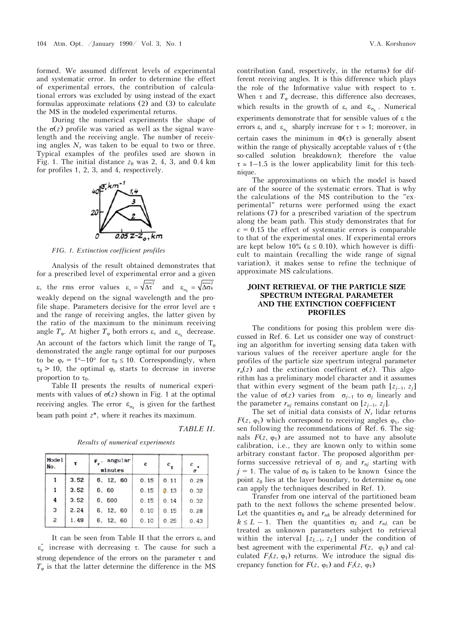formed. We assumed different levels of experimental and systematic error. In order to determine the effect of experimental errors, the contribution of calculational errors was excluded by using instead of the exact formulas approximate relations (2) and (3) to calculate the MS in the modeled experimental returns.

During the numerical experiments the shape of the  $\sigma(z)$  profile was varied as well as the signal wavelength and the receiving angle. The number of receiving angles  $N_r$  was taken to be equal to two or three. Typical examples of the profiles used are shown in Fig. 1. The initial distance  $z_0$  was 2, 4, 3, and 0.4 km for profiles 1, 2, 3, and 4, respectively.



*FIG. 1. Extinction coefficient profiles* 

Analysis of the result obtained demonstrates that for a prescribed level of experimental error and a given  $\varepsilon$ , the rms error values  $\varepsilon_{\tau} = \sqrt{\Delta \tau}^2$  and  $\varepsilon_{\sigma_k} = \sqrt{\Delta \sigma_k^2}$ weakly depend on the signal wavelength and the profile shape. Parameters decisive for the error level are  $\tau$ and the range of receiving angles, the latter given by the ratio of the maximum to the minimum receiving angle  $T_{\varphi}$ . At higher  $T_{\varphi}$  both errors  $\varepsilon_{\tau}$  and  $\varepsilon_{\sigma_{k}}$  decrease. An account of the factors which limit the range of  $T_{\varphi}$ demonstrated the angle range optimal for our purposes to be  $\varphi_r = 1^{\circ} - 10^{\circ}$  for  $\tau_0 \leq 10$ . Correspondingly, when  $\tau_0$  > 10, the optimal  $\varphi_r$  starts to decrease in inverse proportion to  $\tau_0$ .

Table II presents the results of numerical experiments with values of  $\sigma(z)$  shown in Fig. 1 at the optimal receiving angles. The error  $\varepsilon_{\sigma_k}$  is given for the farthest beam path point *z*\*, where it reaches its maximum.

*TABLE II.*

*Results of numerical experiments* 

| Mode 1<br>No. | $\tau$ | $\varphi$ , angular<br>minutes | ε    | $\epsilon_{\tau}$ | $\epsilon$<br>$\sigma$ |
|---------------|--------|--------------------------------|------|-------------------|------------------------|
| 1             | 3.52   | 6, 12, 60                      | 0.15 | 0.11              | 0.29                   |
| $\mathbf{1}$  | 3.52   | 6, 60                          | 0.15 | 0.13              | 0.32                   |
| 4             | 3.52   | 6, 600                         | 0.15 | 0.14              | 0.32                   |
| 3             | 2.24   | 6, 12, 60                      | 0.10 | 0.15              | 0.28                   |
| 2             | 1.49   | 6, 12, 60                      | 0.10 | 0.25              | 0.43                   |

It can be seen from Table II that the errors  $\varepsilon_{\tau}$  and  $\varepsilon_{\sigma}^{*}$  increase with decreasing  $\tau$ . The cause for such a strong dependence of the errors on the parameter  $\tau$  and  $T_{\varphi}$  is that the latter determine the difference in the MS

contribution (and, respectively, in the returns) for different receiving angles. It is this difference which plays the role of the Informative value with respect to  $\tau$ . When  $\tau$  and  $T_{\varphi}$  decrease, this difference also decreases, which results in the growth of  $\varepsilon_{\tau}$  and  $\varepsilon_{\sigma_{\mu}}$ . Numerical experiments demonstrate that for sensible values of  $\varepsilon$  the errors  $\varepsilon_{\tau}$  and  $\varepsilon_{\sigma_{\tau}}$  sharply increase for  $\tau \approx 1$ ; moreover, in certain cases the minimum in  $\Phi(\tau)$  is generally absent within the range of physically acceptable values of  $\tau$  (the so-called solution breakdown); therefore the value  $\tau \approx 1-1.5$  is the lower applicability limit for this technique.

The approximations on which the model is based are of the source of the systematic errors. That is why the calculations of the MS contribution to the "experimental" returns were performed using the exact relations (7) for a prescribed variation of the spectrum along the beam path. This study demonstrates that for  $c = 0.15$  the effect of systematic errors is comparable to that of the experimental ones. If experimental errors are kept below 10% ( $\varepsilon \leq 0.10$ ), which however is difficult to maintain (recalling the wide range of signal variation), it makes sense to refine the technique of approximate MS calculations.

## **JOINT RETRIEVAL OF THE PARTICLE SIZE SPECTRUM INTEGRAL PARAMETER AND THE EXTINCTION COEFFICIENT PROFILES**

The conditions for posing this problem were discussed in Ref. 6. Let us consider one way of constructing an algorithm for inverting sensing data taken with various values of the receiver aperture angle for the profiles of the particle size spectrum integral parameter  $r_n(z)$  and the extinction coefficient  $\sigma(z)$ . This algorithm has a preliminary model character and it assumes that within every segment of the beam path  $[z_{i-1}, z_i]$ the value of  $\sigma(z)$  varies from  $\sigma_{i-1}$  to  $\sigma_i$  linearly and the parameter  $r_{nj}$  remains constant on  $[z_{j-1}, z_j]$ .

The set of initial data consists of  $N<sub>s</sub>$  lidar returns  $F(z, \varphi_1)$  which correspond to receiving angles  $\varphi_1$ , chosen following the recommendations of Ref. 6. The signals  $F(z, \varphi_1)$  are assumed not to have any absolute calibration, i.e., they are known only to within some arbitrary constant factor. The proposed algorithm performs successive retrieval of  $\sigma_i$  and  $r_{ni}$  starting with  $j = 1$ . The value of  $\sigma_0$  is taken to be known (since the point  $z_0$  lies at the layer boundary, to determine  $\sigma_0$  one can apply the techniques described in Ref. 1).

Transfer from one interval of the partitioned beam path to the next follows the scheme presented below. Let the quantities  $\sigma_k$  and  $r_{nk}$  be already determined for  $k \leq L - 1$ . Then the quantities  $\sigma_L$  and  $r_{nL}$  can be treated as unknown parameters subject to retrieval within the interval  $[z_{L-1}, z_L]$  under the condition of best agreement with the experimental  $F(z, \varphi_1)$  and calculated  $F_t(z, \varphi_1)$  returns. We introduce the signal discrepancy function for  $F(z, \varphi_1)$  and  $F_t(z, \varphi_1)$